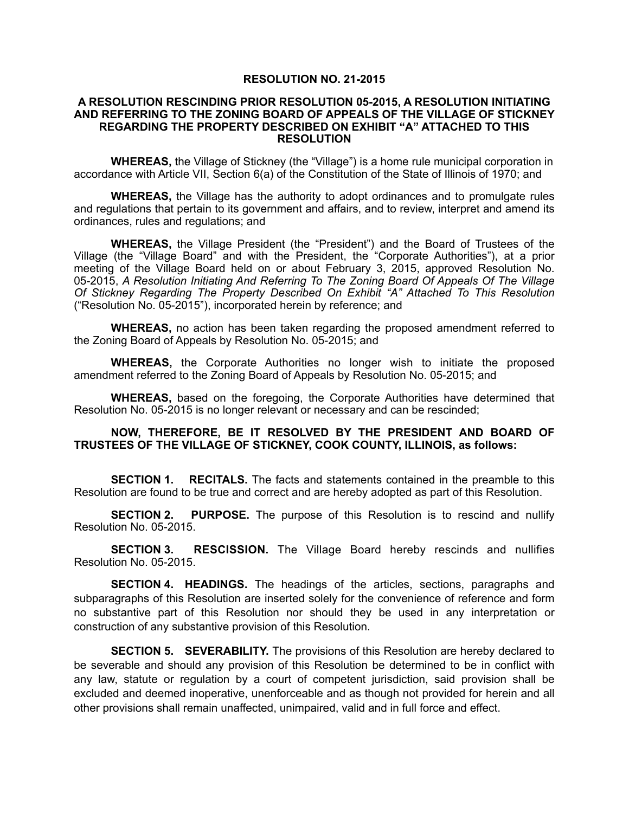## **RESOLUTION NO. 21-2015**

## **A RESOLUTION RESCINDING PRIOR RESOLUTION 05-2015, A RESOLUTION INITIATING AND REFERRING TO THE ZONING BOARD OF APPEALS OF THE VILLAGE OF STICKNEY REGARDING THE PROPERTY DESCRIBED ON EXHIBIT "A" ATTACHED TO THIS RESOLUTION**

**WHEREAS,** the Village of Stickney (the "Village") is a home rule municipal corporation in accordance with Article VII, Section 6(a) of the Constitution of the State of Illinois of 1970; and

**WHEREAS,** the Village has the authority to adopt ordinances and to promulgate rules and regulations that pertain to its government and affairs, and to review, interpret and amend its ordinances, rules and regulations; and

**WHEREAS,** the Village President (the "President") and the Board of Trustees of the Village (the "Village Board" and with the President, the "Corporate Authorities"), at a prior meeting of the Village Board held on or about February 3, 2015, approved Resolution No. 05-2015, *A Resolution Initiating And Referring To The Zoning Board Of Appeals Of The Village Of Stickney Regarding The Property Described On Exhibit "A" Attached To This Resolution* ("Resolution No. 05-2015"), incorporated herein by reference; and

**WHEREAS,** no action has been taken regarding the proposed amendment referred to the Zoning Board of Appeals by Resolution No. 05-2015; and

**WHEREAS,** the Corporate Authorities no longer wish to initiate the proposed amendment referred to the Zoning Board of Appeals by Resolution No. 05-2015; and

**WHEREAS,** based on the foregoing, the Corporate Authorities have determined that Resolution No. 05-2015 is no longer relevant or necessary and can be rescinded;

## **NOW, THEREFORE, BE IT RESOLVED BY THE PRESIDENT AND BOARD OF TRUSTEES OF THE VILLAGE OF STICKNEY, COOK COUNTY, ILLINOIS, as follows:**

**SECTION 1.** RECITALS. The facts and statements contained in the preamble to this Resolution are found to be true and correct and are hereby adopted as part of this Resolution.

**SECTION 2. PURPOSE.** The purpose of this Resolution is to rescind and nullify Resolution No. 05-2015.

**SECTION 3. RESCISSION.** The Village Board hereby rescinds and nullifies Resolution No. 05-2015.

**SECTION 4. HEADINGS.** The headings of the articles, sections, paragraphs and subparagraphs of this Resolution are inserted solely for the convenience of reference and form no substantive part of this Resolution nor should they be used in any interpretation or construction of any substantive provision of this Resolution.

**SECTION 5. SEVERABILITY.** The provisions of this Resolution are hereby declared to be severable and should any provision of this Resolution be determined to be in conflict with any law, statute or regulation by a court of competent jurisdiction, said provision shall be excluded and deemed inoperative, unenforceable and as though not provided for herein and all other provisions shall remain unaffected, unimpaired, valid and in full force and effect.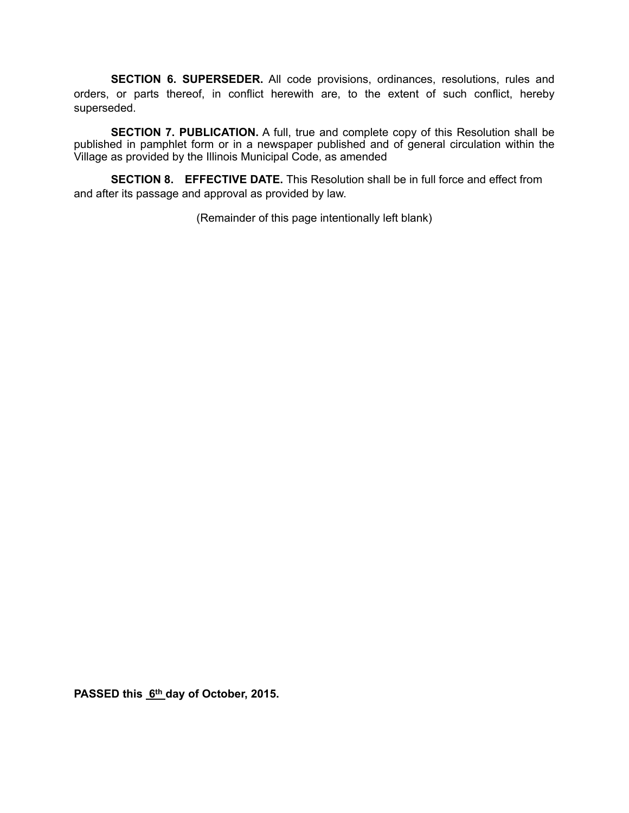**SECTION 6. SUPERSEDER.** All code provisions, ordinances, resolutions, rules and orders, or parts thereof, in conflict herewith are, to the extent of such conflict, hereby superseded.

**SECTION 7. PUBLICATION.** A full, true and complete copy of this Resolution shall be published in pamphlet form or in a newspaper published and of general circulation within the Village as provided by the Illinois Municipal Code, as amended

**SECTION 8. EFFECTIVE DATE.** This Resolution shall be in full force and effect from and after its passage and approval as provided by law.

(Remainder of this page intentionally left blank)

PASSED this 6<sup>th</sup> day of October, 2015.